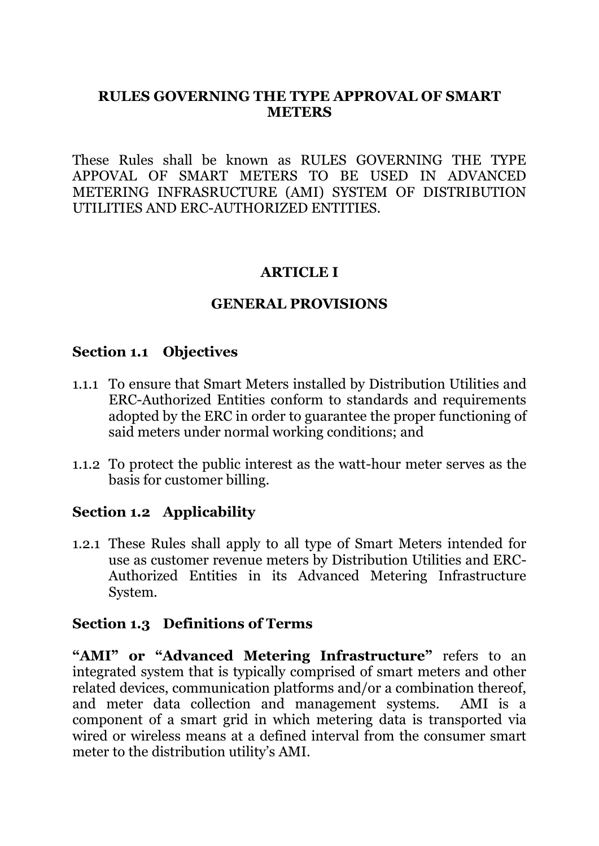### **RULES GOVERNING THE TYPE APPROVAL OF SMART METERS**

These Rules shall be known as RULES GOVERNING THE TYPE APPOVAL OF SMART METERS TO BE USED IN ADVANCED METERING INFRASRUCTURE (AMI) SYSTEM OF DISTRIBUTION UTILITIES AND ERC-AUTHORIZED ENTITIES.

#### **ARTICLE I**

### **GENERAL PROVISIONS**

### **Section 1.1 Objectives**

- 1.1.1 To ensure that Smart Meters installed by Distribution Utilities and ERC-Authorized Entities conform to standards and requirements adopted by the ERC in order to guarantee the proper functioning of said meters under normal working conditions; and
- 1.1.2 To protect the public interest as the watt-hour meter serves as the basis for customer billing.

#### **Section 1.2 Applicability**

1.2.1 These Rules shall apply to all type of Smart Meters intended for use as customer revenue meters by Distribution Utilities and ERC-Authorized Entities in its Advanced Metering Infrastructure System.

#### **Section 1.3 Definitions of Terms**

"AMI" or "Advanced Metering Infrastructure" refers to an integrated system that is typically comprised of smart meters and other related devices, communication platforms and/or a combination thereof, and meter data collection and management systems. AMI is a component of a smart grid in which metering data is transported via wired or wireless means at a defined interval from the consumer smart meter to the distribution utility's AMI.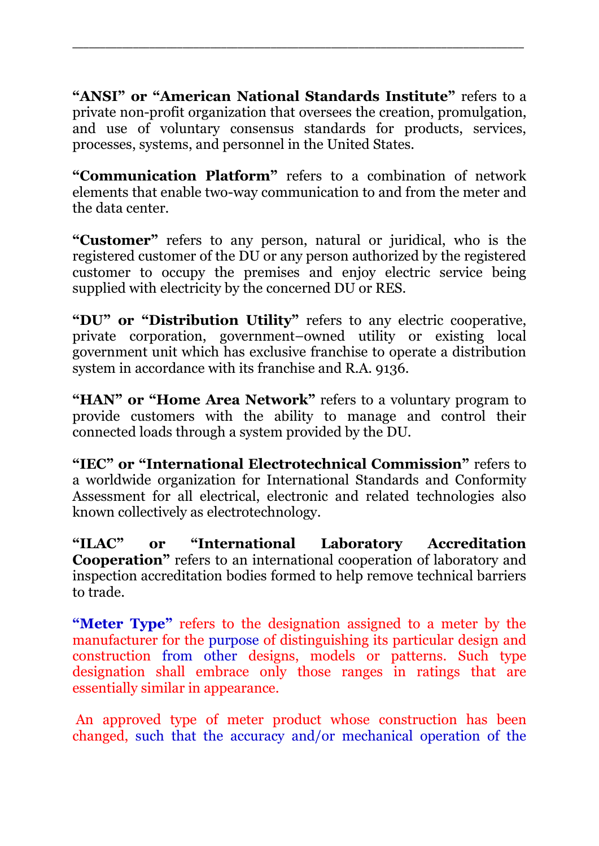**"ANSI" or "American National Standards Institute"** refers to a private non-profit organization that oversees the creation, promulgation, and use of voluntary consensus standards for products, services, processes, systems, and personnel in the United States.

\_\_\_\_\_\_\_\_\_\_\_\_\_\_\_\_\_\_\_\_\_\_\_\_\_\_\_\_\_\_\_\_\_\_\_\_\_\_\_\_\_\_\_\_\_\_\_\_\_\_\_\_\_\_\_\_\_\_\_\_\_\_\_\_\_\_\_\_\_\_\_\_\_\_\_\_\_\_\_\_\_\_

**"Communication Platform"** refers to a combination of network elements that enable two-way communication to and from the meter and the data center.

**"Customer"** refers to any person, natural or juridical, who is the registered customer of the DU or any person authorized by the registered customer to occupy the premises and enjoy electric service being supplied with electricity by the concerned DU or RES.

**"DU" or "Distribution Utility"** refers to any electric cooperative, private corporation, government–owned utility or existing local government unit which has exclusive franchise to operate a distribution system in accordance with its franchise and R.A. 9136.

"HAN" or "Home Area Network" refers to a voluntary program to provide customers with the ability to manage and control their connected loads through a system provided by the DU.

**"IEC" or "International Electrotechnical Commission"** refers to a worldwide organization for International Standards and Conformity Assessment for all electrical, electronic and related technologies also known collectively as electrotechnology.

**"ILAC" or "International Laboratory Accreditation Cooperation"** refers to an international cooperation of laboratory and inspection accreditation bodies formed to help remove technical barriers to trade.

**"Meter Type"** refers to the designation assigned to a meter by the manufacturer for the purpose of distinguishing its particular design and construction from other designs, models or patterns. Such type designation shall embrace only those ranges in ratings that are essentially similar in appearance.

An approved type of meter product whose construction has been changed, such that the accuracy and/or mechanical operation of the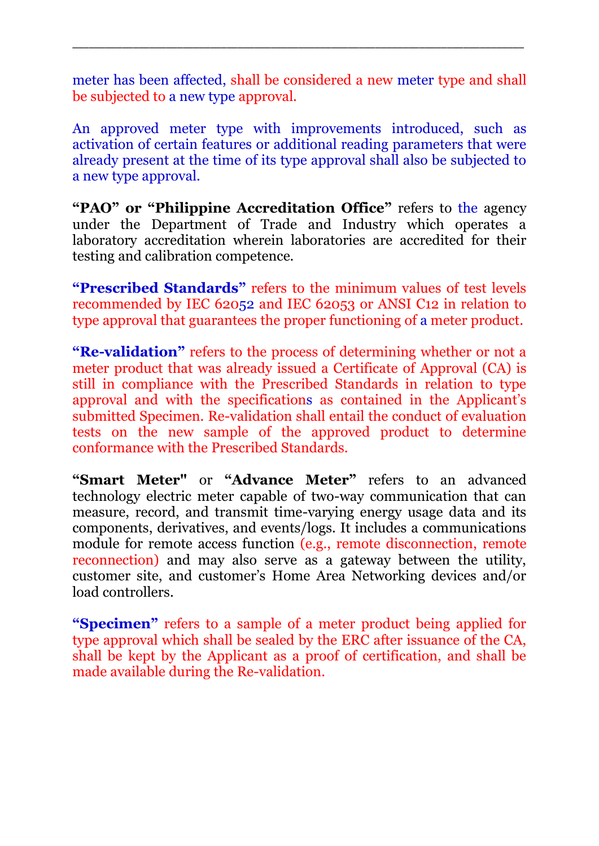meter has been affected, shall be considered a new meter type and shall be subjected to a new type approval.

\_\_\_\_\_\_\_\_\_\_\_\_\_\_\_\_\_\_\_\_\_\_\_\_\_\_\_\_\_\_\_\_\_\_\_\_\_\_\_\_\_\_\_\_\_\_\_\_\_\_\_\_\_\_\_\_\_\_\_\_\_\_\_\_\_\_\_\_\_\_\_\_\_\_\_\_\_\_\_\_\_\_

An approved meter type with improvements introduced, such as activation of certain features or additional reading parameters that were already present at the time of its type approval shall also be subjected to a new type approval.

**"PAO" or "Philippine Accreditation Office"** refers to the agency under the Department of Trade and Industry which operates a laboratory accreditation wherein laboratories are accredited for their testing and calibration competence.

**"Prescribed Standards"** refers to the minimum values of test levels recommended by IEC 62052 and IEC 62053 or ANSI C12 in relation to type approval that guarantees the proper functioning of a meter product.

**"Re-validation"** refers to the process of determining whether or not a meter product that was already issued a Certificate of Approval (CA) is still in compliance with the Prescribed Standards in relation to type approval and with the specifications as contained in the Applicant's submitted Specimen. Re-validation shall entail the conduct of evaluation tests on the new sample of the approved product to determine conformance with the Prescribed Standards.

**"Smart Meter"** or **"Advance Meter"** refers to an advanced technology electric meter capable of two-way communication that can measure, record, and transmit time-varying energy usage data and its components, derivatives, and events/logs. It includes a communications module for remote access function (e.g., remote disconnection, remote reconnection) and may also serve as a gateway between the utility, customer site, and customer's Home Area Networking devices and/or load controllers.

**"Specimen"** refers to a sample of a meter product being applied for type approval which shall be sealed by the ERC after issuance of the CA, shall be kept by the Applicant as a proof of certification, and shall be made available during the Re-validation.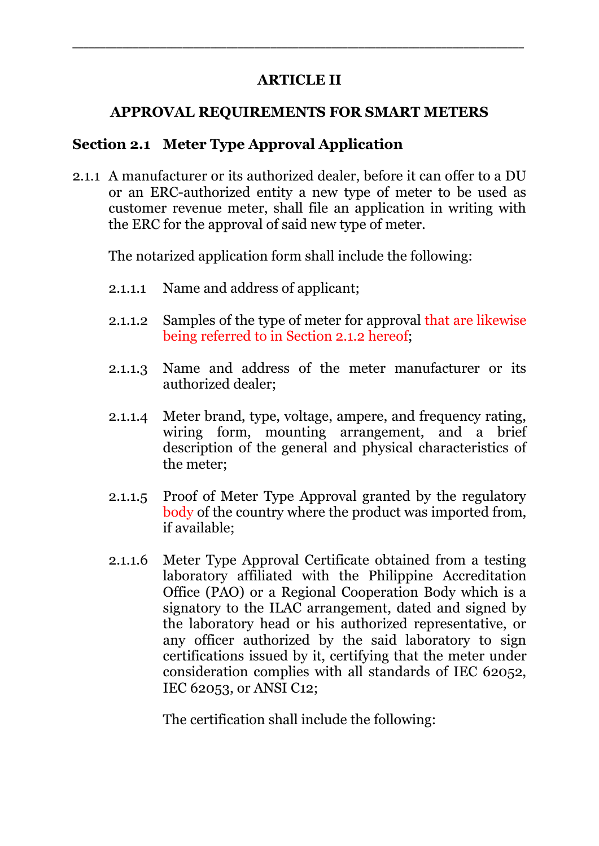### **ARTICLE II**

\_\_\_\_\_\_\_\_\_\_\_\_\_\_\_\_\_\_\_\_\_\_\_\_\_\_\_\_\_\_\_\_\_\_\_\_\_\_\_\_\_\_\_\_\_\_\_\_\_\_\_\_\_\_\_\_\_\_\_\_\_\_\_\_\_\_\_\_\_\_\_\_\_\_\_\_\_\_\_\_\_\_

### **APPROVAL REQUIREMENTS FOR SMART METERS**

## **Section 2.1 Meter Type Approval Application**

2.1.1 A manufacturer or its authorized dealer, before it can offer to a DU or an ERC-authorized entity a new type of meter to be used as customer revenue meter, shall file an application in writing with the ERC for the approval of said new type of meter.

The notarized application form shall include the following:

- 2.1.1.1 Name and address of applicant;
- 2.1.1.2 Samples of the type of meter for approval that are likewise being referred to in Section 2.1.2 hereof;
- 2.1.1.3 Name and address of the meter manufacturer or its authorized dealer;
- 2.1.1.4 Meter brand, type, voltage, ampere, and frequency rating, wiring form, mounting arrangement, and a brief description of the general and physical characteristics of the meter;
- 2.1.1.5 Proof of Meter Type Approval granted by the regulatory body of the country where the product was imported from, if available;
- 2.1.1.6 Meter Type Approval Certificate obtained from a testing laboratory affiliated with the Philippine Accreditation Office (PAO) or a Regional Cooperation Body which is a signatory to the ILAC arrangement, dated and signed by the laboratory head or his authorized representative, or any officer authorized by the said laboratory to sign certifications issued by it, certifying that the meter under consideration complies with all standards of IEC 62052, IEC 62053, or ANSI C12;

The certification shall include the following: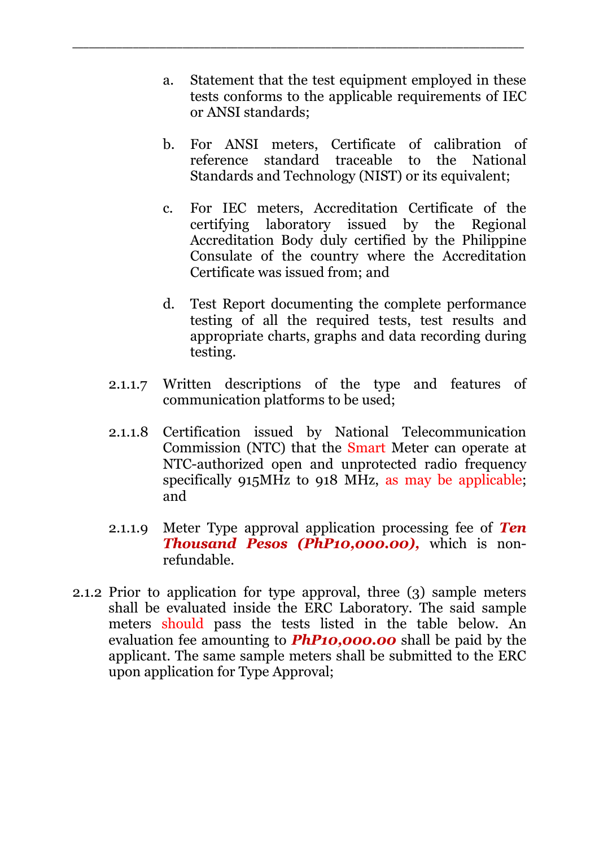a. Statement that the test equipment employed in these tests conforms to the applicable requirements of IEC or ANSI standards;

\_\_\_\_\_\_\_\_\_\_\_\_\_\_\_\_\_\_\_\_\_\_\_\_\_\_\_\_\_\_\_\_\_\_\_\_\_\_\_\_\_\_\_\_\_\_\_\_\_\_\_\_\_\_\_\_\_\_\_\_\_\_\_\_\_\_\_\_\_\_\_\_\_\_\_\_\_\_\_\_\_\_

- b. For ANSI meters, Certificate of calibration of reference standard traceable to the National Standards and Technology (NIST) or its equivalent;
- c. For IEC meters, Accreditation Certificate of the certifying laboratory issued by the Regional Accreditation Body duly certified by the Philippine Consulate of the country where the Accreditation Certificate was issued from; and
- d. Test Report documenting the complete performance testing of all the required tests, test results and appropriate charts, graphs and data recording during testing.
- 2.1.1.7 Written descriptions of the type and features of communication platforms to be used;
- 2.1.1.8 Certification issued by National Telecommunication Commission (NTC) that the Smart Meter can operate at NTC-authorized open and unprotected radio frequency specifically 915MHz to 918 MHz, as may be applicable; and
- 2.1.1.9 Meter Type approval application processing fee of *Ten Thousand Pesos (PhP10,000.00),* which is nonrefundable.
- 2.1.2 Prior to application for type approval, three (3) sample meters shall be evaluated inside the ERC Laboratory. The said sample meters should pass the tests listed in the table below. An evaluation fee amounting to *PhP10,000.00* shall be paid by the applicant. The same sample meters shall be submitted to the ERC upon application for Type Approval;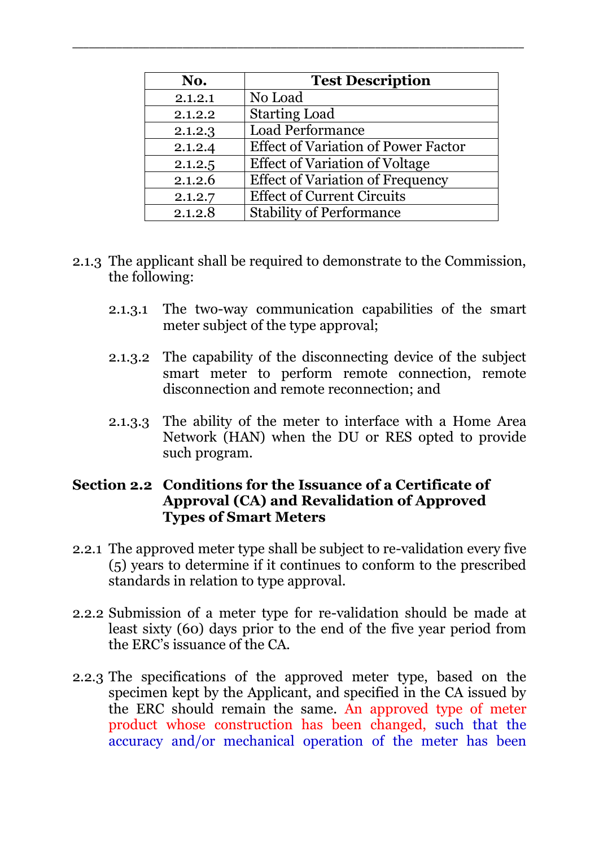| No.     | <b>Test Description</b>                    |
|---------|--------------------------------------------|
| 2.1.2.1 | No Load                                    |
| 2.1.2.2 | <b>Starting Load</b>                       |
| 2.1.2.3 | <b>Load Performance</b>                    |
| 2.1.2.4 | <b>Effect of Variation of Power Factor</b> |
| 2.1.2.5 | <b>Effect of Variation of Voltage</b>      |
| 2.1.2.6 | <b>Effect of Variation of Frequency</b>    |
| 2.1.2.7 | <b>Effect of Current Circuits</b>          |
| 2.1.2.8 | <b>Stability of Performance</b>            |

\_\_\_\_\_\_\_\_\_\_\_\_\_\_\_\_\_\_\_\_\_\_\_\_\_\_\_\_\_\_\_\_\_\_\_\_\_\_\_\_\_\_\_\_\_\_\_\_\_\_\_\_\_\_\_\_\_\_\_\_\_\_\_\_\_\_\_\_\_\_\_\_\_\_\_\_\_\_\_\_\_\_

- 2.1.3 The applicant shall be required to demonstrate to the Commission, the following:
	- 2.1.3.1 The two-way communication capabilities of the smart meter subject of the type approval;
	- 2.1.3.2 The capability of the disconnecting device of the subject smart meter to perform remote connection, remote disconnection and remote reconnection; and
	- 2.1.3.3 The ability of the meter to interface with a Home Area Network (HAN) when the DU or RES opted to provide such program.

### **Section 2.2 Conditions for the Issuance of a Certificate of Approval (CA) and Revalidation of Approved Types of Smart Meters**

- 2.2.1 The approved meter type shall be subject to re-validation every five (5) years to determine if it continues to conform to the prescribed standards in relation to type approval.
- 2.2.2 Submission of a meter type for re-validation should be made at least sixty (60) days prior to the end of the five year period from the ERC's issuance of the CA.
- 2.2.3 The specifications of the approved meter type, based on the specimen kept by the Applicant, and specified in the CA issued by the ERC should remain the same. An approved type of meter product whose construction has been changed, such that the accuracy and/or mechanical operation of the meter has been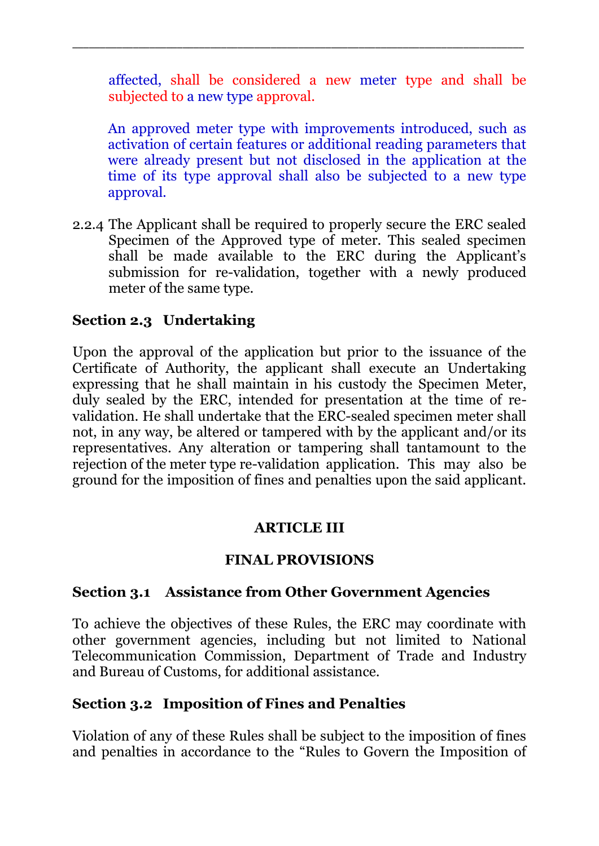affected, shall be considered a new meter type and shall be subjected to a new type approval.

\_\_\_\_\_\_\_\_\_\_\_\_\_\_\_\_\_\_\_\_\_\_\_\_\_\_\_\_\_\_\_\_\_\_\_\_\_\_\_\_\_\_\_\_\_\_\_\_\_\_\_\_\_\_\_\_\_\_\_\_\_\_\_\_\_\_\_\_\_\_\_\_\_\_\_\_\_\_\_\_\_\_

An approved meter type with improvements introduced, such as activation of certain features or additional reading parameters that were already present but not disclosed in the application at the time of its type approval shall also be subjected to a new type approval.

2.2.4 The Applicant shall be required to properly secure the ERC sealed Specimen of the Approved type of meter. This sealed specimen shall be made available to the ERC during the Applicant's submission for re-validation, together with a newly produced meter of the same type.

## **Section 2.3 Undertaking**

Upon the approval of the application but prior to the issuance of the Certificate of Authority, the applicant shall execute an Undertaking expressing that he shall maintain in his custody the Specimen Meter, duly sealed by the ERC, intended for presentation at the time of revalidation. He shall undertake that the ERC-sealed specimen meter shall not, in any way, be altered or tampered with by the applicant and/or its representatives. Any alteration or tampering shall tantamount to the rejection of the meter type re-validation application. This may also be ground for the imposition of fines and penalties upon the said applicant.

### **ARTICLE III**

### **FINAL PROVISIONS**

### **Section 3.1 Assistance from Other Government Agencies**

To achieve the objectives of these Rules, the ERC may coordinate with other government agencies, including but not limited to National Telecommunication Commission, Department of Trade and Industry and Bureau of Customs, for additional assistance.

### **Section 3.2 Imposition of Fines and Penalties**

Violation of any of these Rules shall be subject to the imposition of fines and penalties in accordance to the "Rules to Govern the Imposition of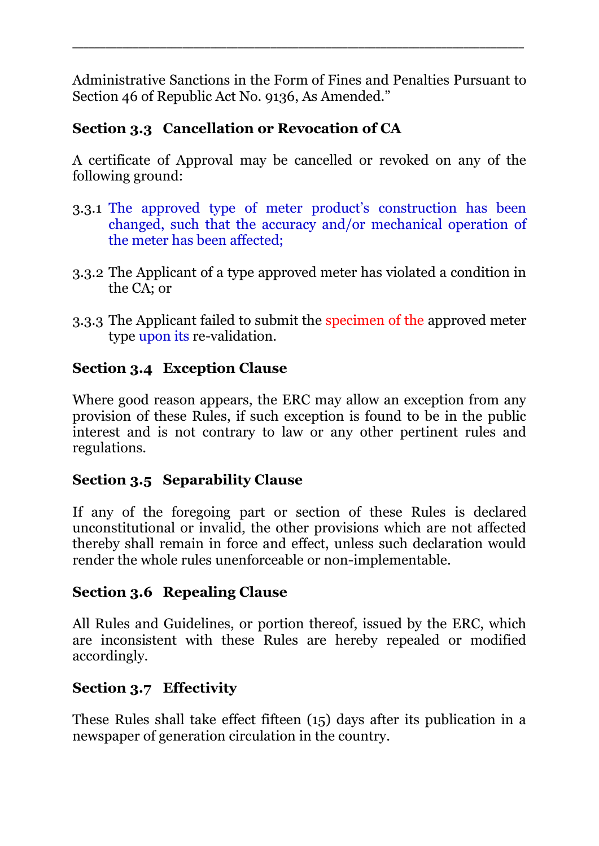Administrative Sanctions in the Form of Fines and Penalties Pursuant to Section 46 of Republic Act No. 9136, As Amended."

\_\_\_\_\_\_\_\_\_\_\_\_\_\_\_\_\_\_\_\_\_\_\_\_\_\_\_\_\_\_\_\_\_\_\_\_\_\_\_\_\_\_\_\_\_\_\_\_\_\_\_\_\_\_\_\_\_\_\_\_\_\_\_\_\_\_\_\_\_\_\_\_\_\_\_\_\_\_\_\_\_\_

# **Section 3.3 Cancellation or Revocation of CA**

A certificate of Approval may be cancelled or revoked on any of the following ground:

- 3.3.1 The approved type of meter product's construction has been changed, such that the accuracy and/or mechanical operation of the meter has been affected;
- 3.3.2 The Applicant of a type approved meter has violated a condition in the CA; or
- 3.3.3 The Applicant failed to submit the specimen of the approved meter type upon its re-validation.

# **Section 3.4 Exception Clause**

Where good reason appears, the ERC may allow an exception from any provision of these Rules, if such exception is found to be in the public interest and is not contrary to law or any other pertinent rules and regulations.

## **Section 3.5 Separability Clause**

If any of the foregoing part or section of these Rules is declared unconstitutional or invalid, the other provisions which are not affected thereby shall remain in force and effect, unless such declaration would render the whole rules unenforceable or non-implementable.

## **Section 3.6 Repealing Clause**

All Rules and Guidelines, or portion thereof, issued by the ERC, which are inconsistent with these Rules are hereby repealed or modified accordingly.

# **Section 3.7 Effectivity**

These Rules shall take effect fifteen (15) days after its publication in a newspaper of generation circulation in the country.